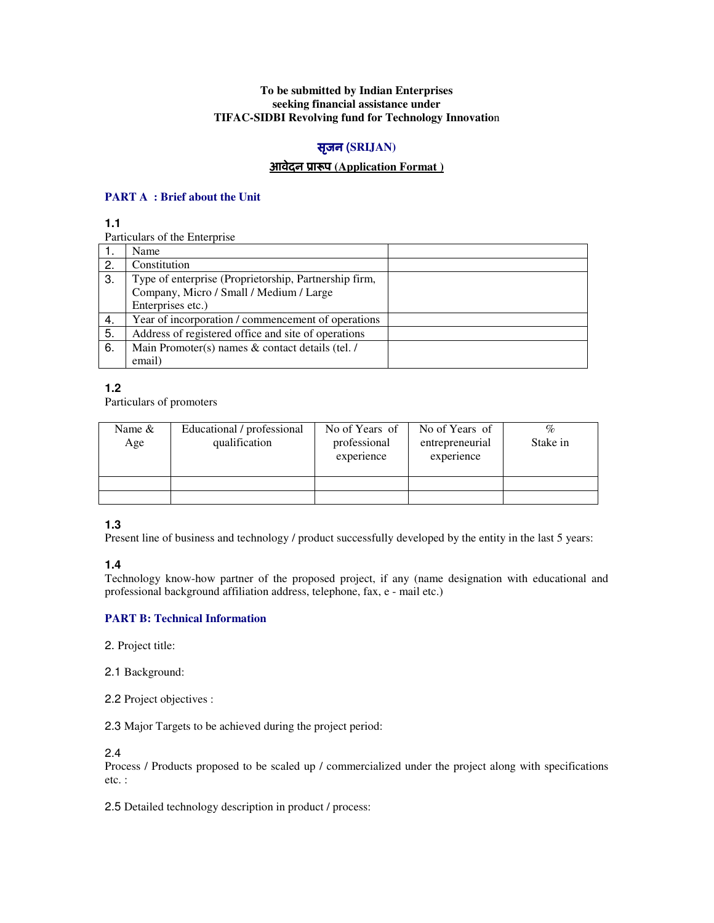### **To be submitted by Indian Enterprises seeking financial assistance under TIFAC-SIDBI Revolving fund for Technology Innovatio**n

# सृजन **(SRIJAN)**

# आवेदन ूाप **(Application Format )**

### **PART A : Brief about the Unit**

**1.1** 

Particulars of the Enterprise

|    | Name                                                  |  |
|----|-------------------------------------------------------|--|
| 2. | Constitution                                          |  |
| 3. | Type of enterprise (Proprietorship, Partnership firm, |  |
|    | Company, Micro / Small / Medium / Large               |  |
|    | Enterprises etc.)                                     |  |
| 4. | Year of incorporation / commencement of operations    |  |
| 5. | Address of registered office and site of operations   |  |
| 6. | Main Promoter(s) names & contact details (tel. /      |  |
|    | email)                                                |  |

**1.2** 

Particulars of promoters

| Name $&$<br>Age | Educational / professional<br>qualification | No of Years of<br>professional<br>experience | No of Years of<br>entrepreneurial<br>experience | %<br>Stake in |
|-----------------|---------------------------------------------|----------------------------------------------|-------------------------------------------------|---------------|
|                 |                                             |                                              |                                                 |               |
|                 |                                             |                                              |                                                 |               |

### **1.3**

Present line of business and technology / product successfully developed by the entity in the last 5 years:

**1.4** 

Technology know-how partner of the proposed project, if any (name designation with educational and professional background affiliation address, telephone, fax, e - mail etc.)

### **PART B: Technical Information**

2. Project title:

2.1 Background:

2.2 Project objectives :

2.3 Major Targets to be achieved during the project period:

2.4

Process / Products proposed to be scaled up / commercialized under the project along with specifications etc. :

2.5 Detailed technology description in product / process: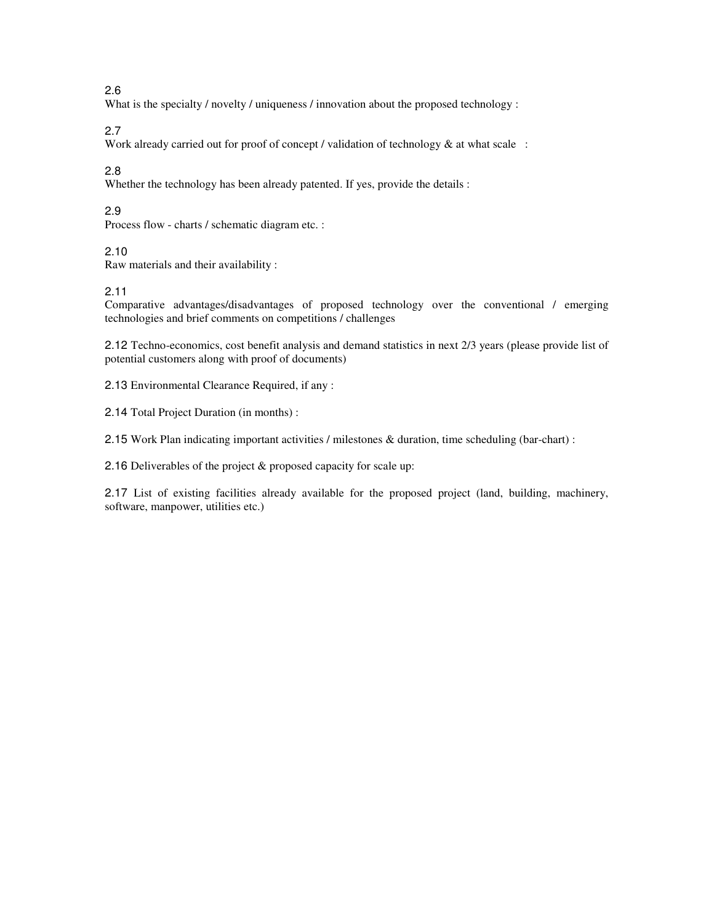# 2.6

What is the specialty / novelty / uniqueness / innovation about the proposed technology :

# 2.7

Work already carried out for proof of concept / validation of technology  $\&$  at what scale :

### 2.8

Whether the technology has been already patented. If yes, provide the details :

# 2.9

Process flow - charts / schematic diagram etc. :

#### 2.10

Raw materials and their availability :

#### 2.11

Comparative advantages/disadvantages of proposed technology over the conventional / emerging technologies and brief comments on competitions / challenges

2.12 Techno-economics, cost benefit analysis and demand statistics in next 2/3 years (please provide list of potential customers along with proof of documents)

2.13 Environmental Clearance Required, if any :

2.14 Total Project Duration (in months) :

2.15 Work Plan indicating important activities / milestones & duration, time scheduling (bar-chart) :

2.16 Deliverables of the project & proposed capacity for scale up:

2.17 List of existing facilities already available for the proposed project (land, building, machinery, software, manpower, utilities etc.)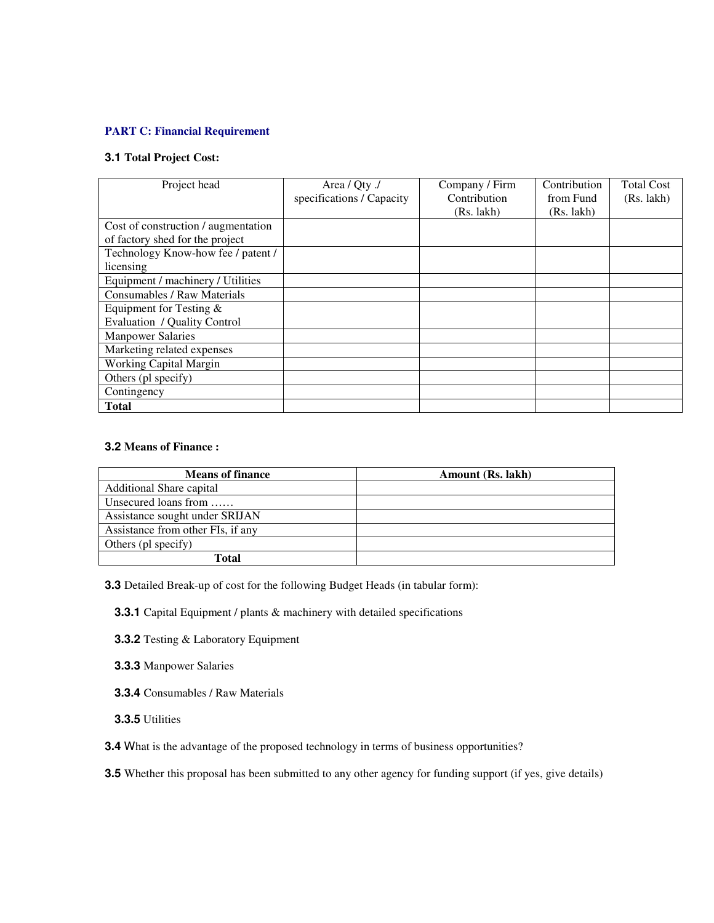# **PART C: Financial Requirement**

### **3.1 Total Project Cost:**

| Project head                        | Area / Qty ./             | Company / Firm | Contribution | <b>Total Cost</b> |
|-------------------------------------|---------------------------|----------------|--------------|-------------------|
|                                     | specifications / Capacity | Contribution   | from Fund    | (Rs. 1akh)        |
|                                     |                           | (Rs. 1akh)     | (Rs. 1akh)   |                   |
| Cost of construction / augmentation |                           |                |              |                   |
| of factory shed for the project     |                           |                |              |                   |
| Technology Know-how fee / patent /  |                           |                |              |                   |
| licensing                           |                           |                |              |                   |
| Equipment / machinery / Utilities   |                           |                |              |                   |
| Consumables / Raw Materials         |                           |                |              |                   |
| Equipment for Testing $&$           |                           |                |              |                   |
| Evaluation / Quality Control        |                           |                |              |                   |
| <b>Manpower Salaries</b>            |                           |                |              |                   |
| Marketing related expenses          |                           |                |              |                   |
| <b>Working Capital Margin</b>       |                           |                |              |                   |
| Others (pl specify)                 |                           |                |              |                   |
| Contingency                         |                           |                |              |                   |
| <b>Total</b>                        |                           |                |              |                   |

### **3.2 Means of Finance :**

| <b>Means of finance</b>           | Amount (Rs. lakh) |
|-----------------------------------|-------------------|
| Additional Share capital          |                   |
| Unsecured loans from              |                   |
| Assistance sought under SRIJAN    |                   |
| Assistance from other FIs, if any |                   |
| Others (pl specify)               |                   |
| Total                             |                   |

**3.3** Detailed Break-up of cost for the following Budget Heads (in tabular form):

 **3.3.1** Capital Equipment / plants & machinery with detailed specifications

- **3.3.2** Testing & Laboratory Equipment
- **3.3.3** Manpower Salaries
- **3.3.4** Consumables / Raw Materials
- **3.3.5** Utilities
- **3.4** What is the advantage of the proposed technology in terms of business opportunities?

**3.5** Whether this proposal has been submitted to any other agency for funding support (if yes, give details)